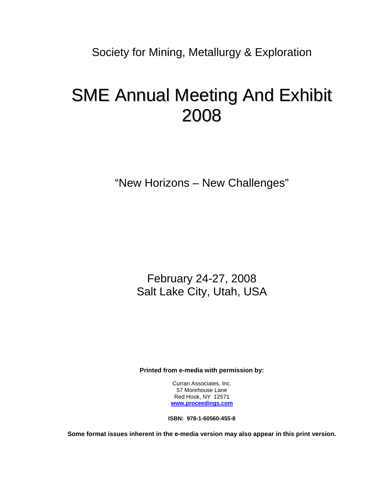Society for Mining, Metallurgy & Exploration

## SME Annual Meeting And Exhibit 2008

"New Horizons – New Challenges"

February 24-27, 2008 Salt Lake City, Utah, USA

**Printed from e-media with permission by:** 

Curran Associates, Inc. 57 Morehouse Lane Red Hook, NY 12571 **[www.proceedings.com](http://www.proceedings.com/)**

**ISBN: 978-1-60560-455-8** 

**Some format issues inherent in the e-media version may also appear in this print version.**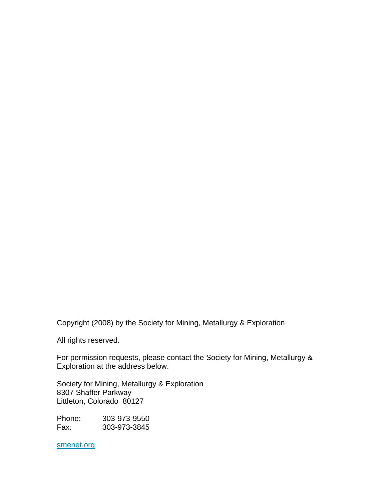Copyright (2008) by the Society for Mining, Metallurgy & Exploration

All rights reserved.

For permission requests, please contact the Society for Mining, Metallurgy & Exploration at the address below.

Society for Mining, Metallurgy & Exploration 8307 Shaffer Parkway Littleton, Colorado 80127

Phone: 303-973-9550 Fax: 303-973-3845

smenet.org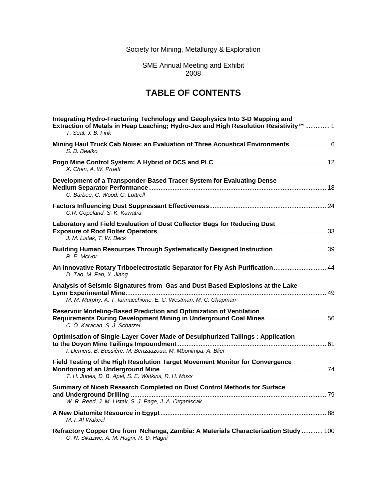Society for Mining, Metallurgy & Exploration

SME Annual Meeting and Exhibit 2008

## **TABLE OF CONTENTS**

| Integrating Hydro-Fracturing Technology and Geophysics Into 3-D Mapping and<br>Extraction of Metals in Heap Leaching; Hydro-Jex and High Resolution Resistivity™  1<br>T. Seal. J. B. Fink |
|--------------------------------------------------------------------------------------------------------------------------------------------------------------------------------------------|
| Mining Haul Truck Cab Noise: an Evaluation of Three Acoustical Environments 6<br>S. B. Bealko                                                                                              |
| X. Chen. A. W. Pruett                                                                                                                                                                      |
| Development of a Transponder-Based Tracer System for Evaluating Dense<br>C. Barbee, C. Wood, G. Luttrell                                                                                   |
| C.R. Copeland, S. K. Kawatra                                                                                                                                                               |
| Laboratory and Field Evaluation of Dust Collector Bags for Reducing Dust<br>J. M. Listak, T. W. Beck                                                                                       |
| Building Human Resources Through Systematically Designed Instruction  39<br>R. E. Mcivor                                                                                                   |
| An Innovative Rotary Triboelectrostatic Separator for Fly Ash Purification  44<br>D. Tao, M. Fan, X. Jiang                                                                                 |
| Analysis of Seismic Signatures from Gas and Dust Based Explosions at the Lake<br>M. M. Murphy, A. T. lannacchione, E. C. Westman, M. C. Chapman                                            |
| Reservoir Modeling-Based Prediction and Optimization of Ventilation<br>Requirements During Development Mining in Underground Coal Mines 56<br>C. Ö. Karacan, S. J. Schatzel                |
| Optimisation of Single-Layer Cover Made of Desulphurized Tailings: Application<br>I. Demers, B. Bussière, M. Benzaazoua, M. Mbonimpa, A. Blier                                             |
| Field Testing of the High Resolution Target Movement Monitor for Convergence<br>T. H. Jones, D. B. Apel, S. E. Watkins, R. H. Moss                                                         |
| Summary of Niosh Research Completed on Dust Control Methods for Surface<br>W. R. Reed, J. M. Listak, S. J. Page, J. A. Organiscak                                                          |
| M. I. Al-Wakeel                                                                                                                                                                            |
| Refractory Copper Ore from Nchanga, Zambia: A Materials Characterization Study  100<br>O. N. Sikazwe, A. M. Hagni, R. D. Hagni                                                             |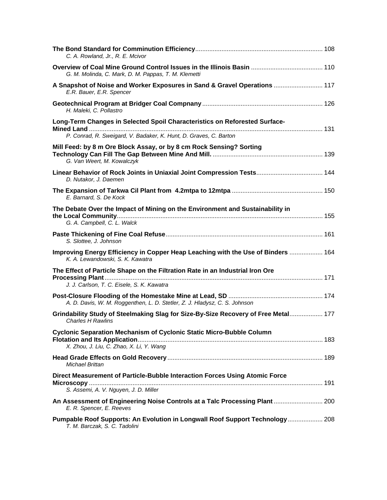| C. A. Rowland, Jr., R. E. Mcivor                                                                                                                |  |
|-------------------------------------------------------------------------------------------------------------------------------------------------|--|
| G. M. Molinda, C. Mark, D. M. Pappas, T. M. Klemetti                                                                                            |  |
| A Snapshot of Noise and Worker Exposures in Sand & Gravel Operations  117<br>E.R. Bauer, E.R. Spencer                                           |  |
| H. Maleki, C. Pollastro                                                                                                                         |  |
| Long-Term Changes in Selected Spoil Characteristics on Reforested Surface-<br>P. Conrad, R. Sweigard, V. Badaker, K. Hunt, D. Graves, C. Barton |  |
| Mill Feed: by 8 m Ore Block Assay, or by 8 cm Rock Sensing? Sorting<br>G. Van Weert, M. Kowalczyk                                               |  |
| Linear Behavior of Rock Joints in Uniaxial Joint Compression Tests 144<br>D. Nutakor, J. Daemen                                                 |  |
| E. Barnard, S. De Kock                                                                                                                          |  |
| The Debate Over the Impact of Mining on the Environment and Sustainability in<br>G. A. Campbell, C. L. Walck                                    |  |
| S. Slottee, J. Johnson                                                                                                                          |  |
| Improving Energy Efficiency in Copper Heap Leaching with the Use of Binders  164<br>K. A. Lewandowski, S. K. Kawatra                            |  |
| The Effect of Particle Shape on the Filtration Rate in an Industrial Iron Ore<br>J. J. Carlson, T. C. Eisele, S. K. Kawatra                     |  |
| A. D. Davis, W. M. Roggenthen, L. D. Stetler, Z. J. Hladysz, C. S. Johnson                                                                      |  |
| Grindability Study of Steelmaking Slag for Size-By-Size Recovery of Free Metal 177<br><b>Charles H Rawlins</b>                                  |  |
| <b>Cyclonic Separation Mechanism of Cyclonic Static Micro-Bubble Column</b><br>X. Zhou, J. Liu, C. Zhao, X. Li, Y. Wang                         |  |
| <b>Michael Brittan</b>                                                                                                                          |  |
| Direct Measurement of Particle-Bubble Interaction Forces Using Atomic Force<br>S. Assemi, A. V. Nguyen, J. D. Miller                            |  |
| An Assessment of Engineering Noise Controls at a Talc Processing Plant  200<br>E. R. Spencer, E. Reeves                                         |  |
| Pumpable Roof Supports: An Evolution in Longwall Roof Support Technology 208<br>T. M. Barczak, S. C. Tadolini                                   |  |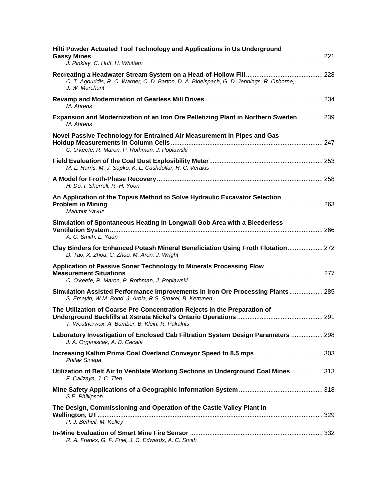| Hilti Powder Actuated Tool Technology and Applications in Us Underground<br>J. Pinkley, C. Huff, H. Whittam                                  |  |
|----------------------------------------------------------------------------------------------------------------------------------------------|--|
| C. T. Agouridis, R. C. Warner, C. D. Barton, D. A. Bidelspach, G. D. Jennings, R. Osborne,<br>J. W. Marchant                                 |  |
| M. Ahrens                                                                                                                                    |  |
| Expansion and Modernization of an Iron Ore Pelletizing Plant in Northern Sweden  239<br>M. Ahrens                                            |  |
| Novel Passive Technology for Entrained Air Measurement in Pipes and Gas<br>C. O'keefe, R. Maron, P. Rothman, J. Poplawski                    |  |
| M. L. Harris, M. J. Sapko, K. L. Cashdollar, H. C. Verakis                                                                                   |  |
| H. Do, I. Sherrell, R.-H. Yoon                                                                                                               |  |
| An Application of the Topsis Method to Solve Hydraulic Excavator Selection<br>Mahmut Yavuz                                                   |  |
| Simulation of Spontaneous Heating in Longwall Gob Area with a Bleederless<br>A. C. Smith, L. Yuan                                            |  |
| Clay Binders for Enhanced Potash Mineral Beneficiation Using Froth Flotation 272<br>D. Tao, X. Zhou, C. Zhao, M. Aron, J. Wright             |  |
| Application of Passive Sonar Technology to Minerals Processing Flow<br>C. O'keefe, R. Maron, P. Rothman, J. Poplawski                        |  |
| Simulation Assisted Performance Improvements in Iron Ore Processing Plants 285<br>S. Ersayin, W.M. Bond, J. Arola, R.S. Strukel, B. Kettunen |  |
| The Utilization of Coarse Pre-Concentration Rejects in the Preparation of<br>T. Weatherwax, A. Bamber, B. Klein, R. Pakalnis                 |  |
| Laboratory Investigation of Enclosed Cab Filtration System Design Parameters  298<br>J. A. Organiscak, A. B. Cecala                          |  |
| Poltak Sinaga                                                                                                                                |  |
| Utilization of Belt Air to Ventilate Working Sections in Underground Coal Mines  313<br>F. Calizaya, J. C. Tien                              |  |
| S.E. Phillipson                                                                                                                              |  |
| The Design, Commissioning and Operation of the Castle Valley Plant in<br>P. J. Bethell, M. Kelley                                            |  |
| R. A. Franks, G. F. Friel, J. C. Edwards, A. C. Smith                                                                                        |  |